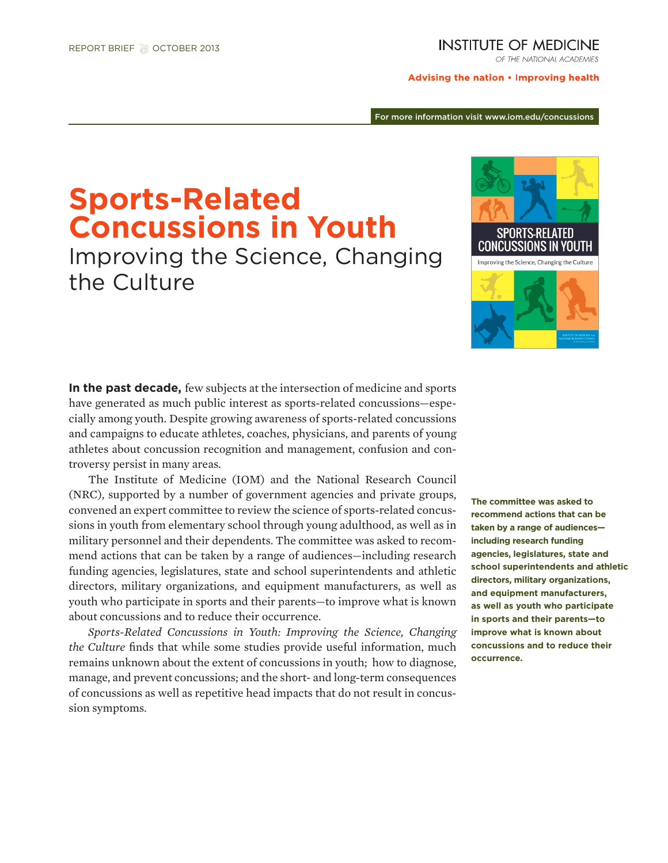# **INSTITUTE OF MEDICINE**

OF THE NATIONAL ACADEMIES

## Advising the nation . Improving health

For more information visit www.iom.edu/concussions

# **Sports-Related Concussions in Youth**

Improving the Science, Changing the Culture



**In the past decade,** few subjects at the intersection of medicine and sports have generated as much public interest as sports-related concussions—especially among youth. Despite growing awareness of sports-related concussions and campaigns to educate athletes, coaches, physicians, and parents of young athletes about concussion recognition and management, confusion and controversy persist in many areas.

The Institute of Medicine (IOM) and the National Research Council (NRC), supported by a number of government agencies and private groups, convened an expert committee to review the science of sports-related concussions in youth from elementary school through young adulthood, as well as in military personnel and their dependents. The committee was asked to recommend actions that can be taken by a range of audiences—including research funding agencies, legislatures, state and school superintendents and athletic directors, military organizations, and equipment manufacturers, as well as youth who participate in sports and their parents—to improve what is known about concussions and to reduce their occurrence.

*Sports-Related Concussions in Youth: Improving the Science, Changing the Culture* finds that while some studies provide useful information, much remains unknown about the extent of concussions in youth; how to diagnose, manage, and prevent concussions; and the short- and long-term consequences of concussions as well as repetitive head impacts that do not result in concussion symptoms.

**The committee was asked to recommend actions that can be taken by a range of audiences including research funding agencies, legislatures, state and school superintendents and athletic directors, military organizations, and equipment manufacturers, as well as youth who participate in sports and their parents—to improve what is known about concussions and to reduce their occurrence.**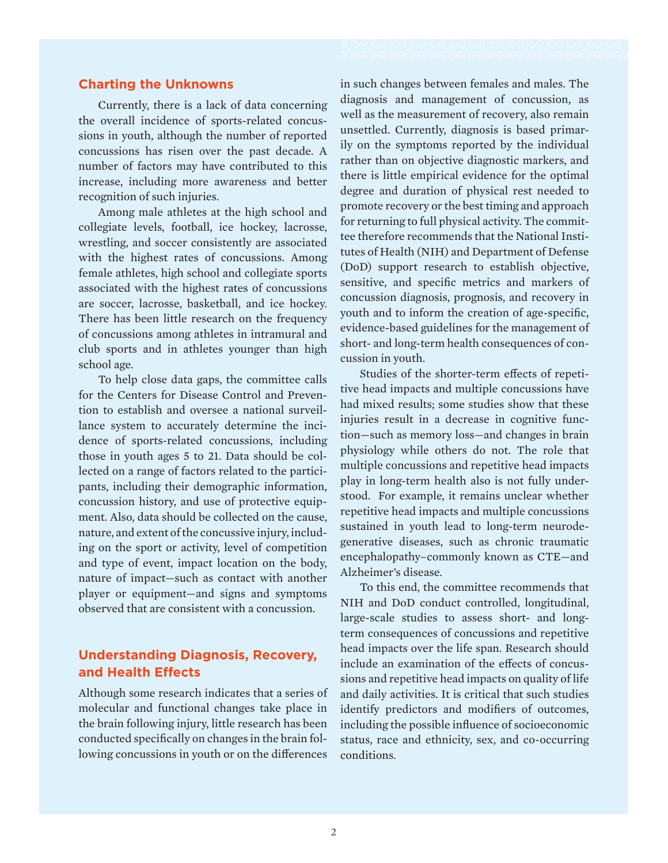# **Charting the Unknowns**

Currently, there is a lack of data concerning the overall incidence of sports-related concussions in youth, although the number of reported concussions has risen over the past decade. A number of factors may have contributed to this increase, including more awareness and better recognition of such injuries.

Among male athletes at the high school and collegiate levels, football, ice hockey, lacrosse, wrestling, and soccer consistently are associated with the highest rates of concussions. Among female athletes, high school and collegiate sports associated with the highest rates of concussions are soccer, lacrosse, basketball, and ice hockey. There has been little research on the frequency of concussions among athletes in intramural and club sports and in athletes younger than high school age.

To help close data gaps, the committee calls for the Centers for Disease Control and Prevention to establish and oversee a national surveillance system to accurately determine the incidence of sports-related concussions, including those in youth ages 5 to 21. Data should be collected on a range of factors related to the participants, including their demographic information, concussion history, and use of protective equipment. Also, data should be collected on the cause, nature, and extent of the concussive injury, including on the sport or activity, level of competition and type of event, impact location on the body, nature of impact—such as contact with another player or equipment—and signs and symptoms observed that are consistent with a concussion.

# **Understanding Diagnosis, Recovery, and Health Effects**

Although some research indicates that a series of molecular and functional changes take place in the brain following injury, little research has been conducted specifically on changes in the brain following concussions in youth or on the differences

in such changes between females and males. The diagnosis and management of concussion, as well as the measurement of recovery, also remain unsettled. Currently, diagnosis is based primarily on the symptoms reported by the individual rather than on objective diagnostic markers, and there is little empirical evidence for the optimal degree and duration of physical rest needed to promote recovery or the best timing and approach for returning to full physical activity. The committee therefore recommends that the National Institutes of Health (NIH) and Department of Defense (DoD) support research to establish objective, sensitive, and specific metrics and markers of concussion diagnosis, prognosis, and recovery in youth and to inform the creation of age-specific, evidence-based guidelines for the management of short- and long-term health consequences of concussion in youth.

Studies of the shorter-term effects of repetitive head impacts and multiple concussions have had mixed results; some studies show that these injuries result in a decrease in cognitive function—such as memory loss—and changes in brain physiology while others do not. The role that multiple concussions and repetitive head impacts play in long-term health also is not fully understood. For example, it remains unclear whether repetitive head impacts and multiple concussions sustained in youth lead to long-term neurodegenerative diseases, such as chronic traumatic encephalopathy–commonly known as CTE—and Alzheimer's disease.

To this end, the committee recommends that NIH and DoD conduct controlled, longitudinal, large-scale studies to assess short- and longterm consequences of concussions and repetitive head impacts over the life span. Research should include an examination of the effects of concussions and repetitive head impacts on quality of life and daily activities. It is critical that such studies identify predictors and modifiers of outcomes, including the possible influence of socioeconomic status, race and ethnicity, sex, and co-occurring conditions.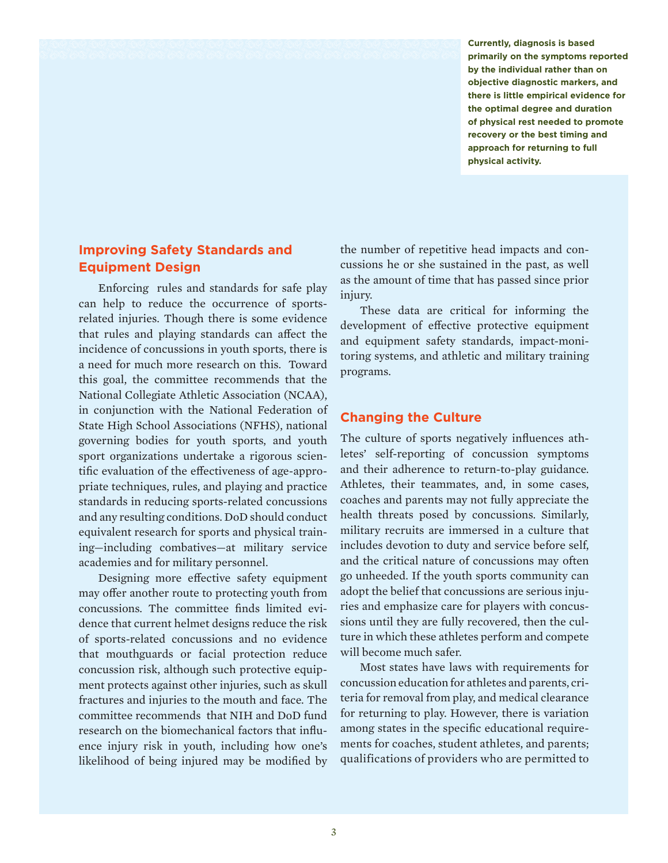**Currently, diagnosis is based primarily on the symptoms reported by the individual rather than on objective diagnostic markers, and there is little empirical evidence for the optimal degree and duration of physical rest needed to promote recovery or the best timing and approach for returning to full physical activity.** 

# **Improving Safety Standards and Equipment Design**

Enforcing rules and standards for safe play can help to reduce the occurrence of sportsrelated injuries. Though there is some evidence that rules and playing standards can affect the incidence of concussions in youth sports, there is a need for much more research on this. Toward this goal, the committee recommends that the National Collegiate Athletic Association (NCAA), in conjunction with the National Federation of State High School Associations (NFHS), national governing bodies for youth sports, and youth sport organizations undertake a rigorous scientific evaluation of the effectiveness of age-appropriate techniques, rules, and playing and practice standards in reducing sports-related concussions and any resulting conditions. DoD should conduct equivalent research for sports and physical training—including combatives—at military service academies and for military personnel.

Designing more effective safety equipment may offer another route to protecting youth from concussions. The committee finds limited evidence that current helmet designs reduce the risk of sports-related concussions and no evidence that mouthguards or facial protection reduce concussion risk, although such protective equipment protects against other injuries, such as skull fractures and injuries to the mouth and face. The committee recommends that NIH and DoD fund research on the biomechanical factors that influence injury risk in youth, including how one's likelihood of being injured may be modified by

the number of repetitive head impacts and concussions he or she sustained in the past, as well as the amount of time that has passed since prior injury.

These data are critical for informing the development of effective protective equipment and equipment safety standards, impact-monitoring systems, and athletic and military training programs.

# **Changing the Culture**

The culture of sports negatively influences athletes' self-reporting of concussion symptoms and their adherence to return-to-play guidance. Athletes, their teammates, and, in some cases, coaches and parents may not fully appreciate the health threats posed by concussions. Similarly, military recruits are immersed in a culture that includes devotion to duty and service before self, and the critical nature of concussions may often go unheeded. If the youth sports community can adopt the belief that concussions are serious injuries and emphasize care for players with concussions until they are fully recovered, then the culture in which these athletes perform and compete will become much safer.

Most states have laws with requirements for concussion education for athletes and parents, criteria for removal from play, and medical clearance for returning to play. However, there is variation among states in the specific educational requirements for coaches, student athletes, and parents; qualifications of providers who are permitted to